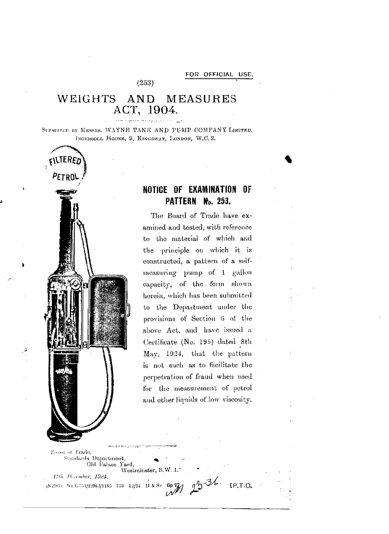## WEIGHTS AND **MEASURES** ACT, 1904.

 $(253)$ 

SUBJITTED BY MESSRS, WAYNE TANK AND PUMP COMPANY LIMITED, INGERSOLL HOUSE, 9, KINGSWAY, LONDON, W.C. 2.



## NOTICE OF EXAMINATION OF PATTERN No. 253.

The Board of Trade have examined and tested, with reference to the material of which and the principle on which it is constructed, a pattern of a selfmeasuring pump of 1 gallon capacity, of the form shown herein, which has been submitted to the Department under the provisions of Section 6 of the above Act, and have issued a Certificate (No. 195) dated 8th May, 1924, that the pattern is not such as to facilitate the perpetration of fraud when used for the measurement of petrol and other liquids of low viscosity.

 $IP.T.O.$ 

Poard of Trade, Standards Department, Old Palace Yard, Westmiuster, S.W.1. 17th December, 1924. (5216): Wi 17351/22062/1185 750 12/24 H & Sr Gp